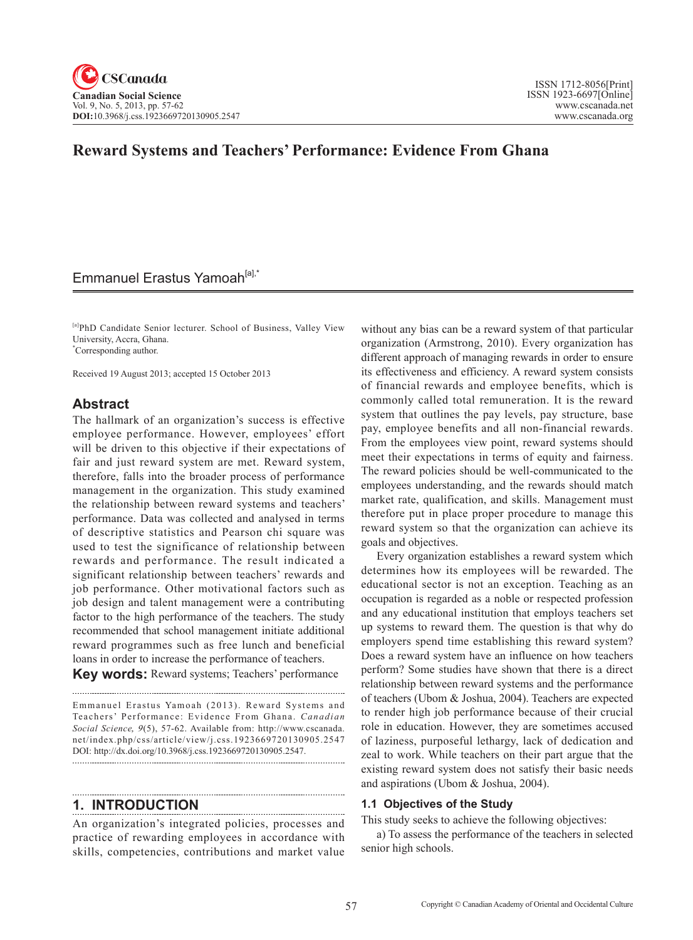# **Reward Systems and Teachers' Performance: Evidence From Ghana**

## Emmanuel Erastus Yamoah<sup>[a],\*</sup>

[a]PhD Candidate Senior lecturer. School of Business, Valley View University, Accra, Ghana. \* Corresponding author.

Received 19 August 2013; accepted 15 October 2013

### **Abstract**

The hallmark of an organization's success is effective employee performance. However, employees' effort will be driven to this objective if their expectations of fair and just reward system are met. Reward system, therefore, falls into the broader process of performance management in the organization. This study examined the relationship between reward systems and teachers' performance. Data was collected and analysed in terms of descriptive statistics and Pearson chi square was used to test the significance of relationship between rewards and performance. The result indicated a significant relationship between teachers' rewards and job performance. Other motivational factors such as job design and talent management were a contributing factor to the high performance of the teachers. The study recommended that school management initiate additional reward programmes such as free lunch and beneficial loans in order to increase the performance of teachers.

**Key words:** Reward systems; Teachers' performance 

Emmanuel Erastus Yamoah (2013). Reward Systems and Teachers' Performance: Evidence From Ghana. *Canadian Social Science*, 9(5), 57-62. Available from: http://www.cscanada. net/index.php/css/article/view/j.css.1923669720130905.2547 DOI: http://dx.doi.org/10.3968/j.css.1923669720130905.2547. 

## **1. INTRODUCTION**

An organization's integrated policies, processes and practice of rewarding employees in accordance with skills, competencies, contributions and market value without any bias can be a reward system of that particular organization (Armstrong, 2010). Every organization has different approach of managing rewards in order to ensure its effectiveness and efficiency. A reward system consists of financial rewards and employee benefits, which is commonly called total remuneration. It is the reward system that outlines the pay levels, pay structure, base pay, employee benefits and all non-financial rewards. From the employees view point, reward systems should meet their expectations in terms of equity and fairness. The reward policies should be well-communicated to the employees understanding, and the rewards should match market rate, qualification, and skills. Management must therefore put in place proper procedure to manage this reward system so that the organization can achieve its goals and objectives.

Every organization establishes a reward system which determines how its employees will be rewarded. The educational sector is not an exception. Teaching as an occupation is regarded as a noble or respected profession and any educational institution that employs teachers set up systems to reward them. The question is that why do employers spend time establishing this reward system? Does a reward system have an influence on how teachers perform? Some studies have shown that there is a direct relationship between reward systems and the performance of teachers (Ubom & Joshua, 2004). Teachers are expected to render high job performance because of their crucial role in education. However, they are sometimes accused of laziness, purposeful lethargy, lack of dedication and zeal to work. While teachers on their part argue that the existing reward system does not satisfy their basic needs and aspirations (Ubom & Joshua, 2004).

### **1.1 Objectives of the Study**

This study seeks to achieve the following objectives:

a) To assess the performance of the teachers in selected senior high schools.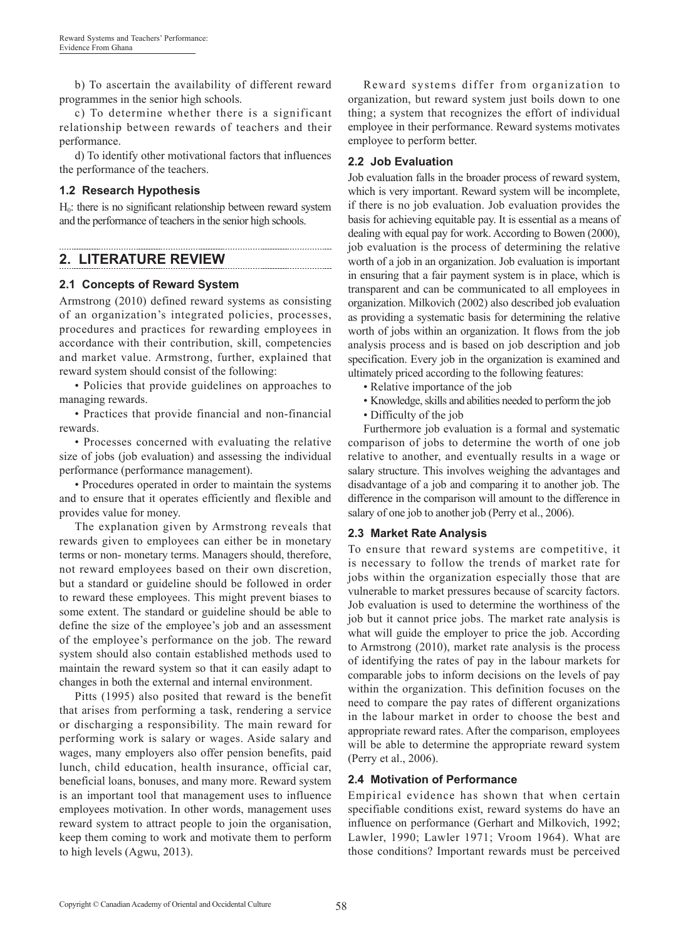b) To ascertain the availability of different reward programmes in the senior high schools.

c) To determine whether there is a significant relationship between rewards of teachers and their performance.

d) To identify other motivational factors that influences the performance of the teachers.

### **1.2 Research Hypothesis**

 $H<sub>0</sub>$ : there is no significant relationship between reward system and the performance of teachers in the senior high schools.

## **2. LITERATURE REVIEW**

### **2.1 Concepts of Reward System**

Armstrong (2010) defined reward systems as consisting of an organization's integrated policies, processes, procedures and practices for rewarding employees in accordance with their contribution, skill, competencies and market value. Armstrong, further, explained that reward system should consist of the following:

• Policies that provide guidelines on approaches to managing rewards.

• Practices that provide financial and non-financial rewards.

• Processes concerned with evaluating the relative size of jobs (job evaluation) and assessing the individual performance (performance management).

• Procedures operated in order to maintain the systems and to ensure that it operates efficiently and flexible and provides value for money.

The explanation given by Armstrong reveals that rewards given to employees can either be in monetary terms or non- monetary terms. Managers should, therefore, not reward employees based on their own discretion, but a standard or guideline should be followed in order to reward these employees. This might prevent biases to some extent. The standard or guideline should be able to define the size of the employee's job and an assessment of the employee's performance on the job. The reward system should also contain established methods used to maintain the reward system so that it can easily adapt to changes in both the external and internal environment.

Pitts (1995) also posited that reward is the benefit that arises from performing a task, rendering a service or discharging a responsibility. The main reward for performing work is salary or wages. Aside salary and wages, many employers also offer pension benefits, paid lunch, child education, health insurance, official car, beneficial loans, bonuses, and many more. Reward system is an important tool that management uses to influence employees motivation. In other words, management uses reward system to attract people to join the organisation, keep them coming to work and motivate them to perform to high levels (Agwu, 2013).

Reward systems differ from organization to organization, but reward system just boils down to one thing; a system that recognizes the effort of individual employee in their performance. Reward systems motivates employee to perform better.

### **2.2 Job Evaluation**

Job evaluation falls in the broader process of reward system, which is very important. Reward system will be incomplete, if there is no job evaluation. Job evaluation provides the basis for achieving equitable pay. It is essential as a means of dealing with equal pay for work. According to Bowen (2000), job evaluation is the process of determining the relative worth of a job in an organization. Job evaluation is important in ensuring that a fair payment system is in place, which is transparent and can be communicated to all employees in organization. Milkovich (2002) also described job evaluation as providing a systematic basis for determining the relative worth of jobs within an organization. It flows from the job analysis process and is based on job description and job specification. Every job in the organization is examined and ultimately priced according to the following features:

- Relative importance of the job
- Knowledge, skills and abilities needed to perform the job
- Difficulty of the job

Furthermore job evaluation is a formal and systematic comparison of jobs to determine the worth of one job relative to another, and eventually results in a wage or salary structure. This involves weighing the advantages and disadvantage of a job and comparing it to another job. The difference in the comparison will amount to the difference in salary of one job to another job (Perry et al., 2006).

### **2.3 Market Rate Analysis**

To ensure that reward systems are competitive, it is necessary to follow the trends of market rate for jobs within the organization especially those that are vulnerable to market pressures because of scarcity factors. Job evaluation is used to determine the worthiness of the job but it cannot price jobs. The market rate analysis is what will guide the employer to price the job. According to Armstrong (2010), market rate analysis is the process of identifying the rates of pay in the labour markets for comparable jobs to inform decisions on the levels of pay within the organization. This definition focuses on the need to compare the pay rates of different organizations in the labour market in order to choose the best and appropriate reward rates. After the comparison, employees will be able to determine the appropriate reward system (Perry et al., 2006).

### **2.4 Motivation of Performance**

Empirical evidence has shown that when certain specifiable conditions exist, reward systems do have an influence on performance (Gerhart and Milkovich, 1992; Lawler, 1990; Lawler 1971; Vroom 1964). What are those conditions? Important rewards must be perceived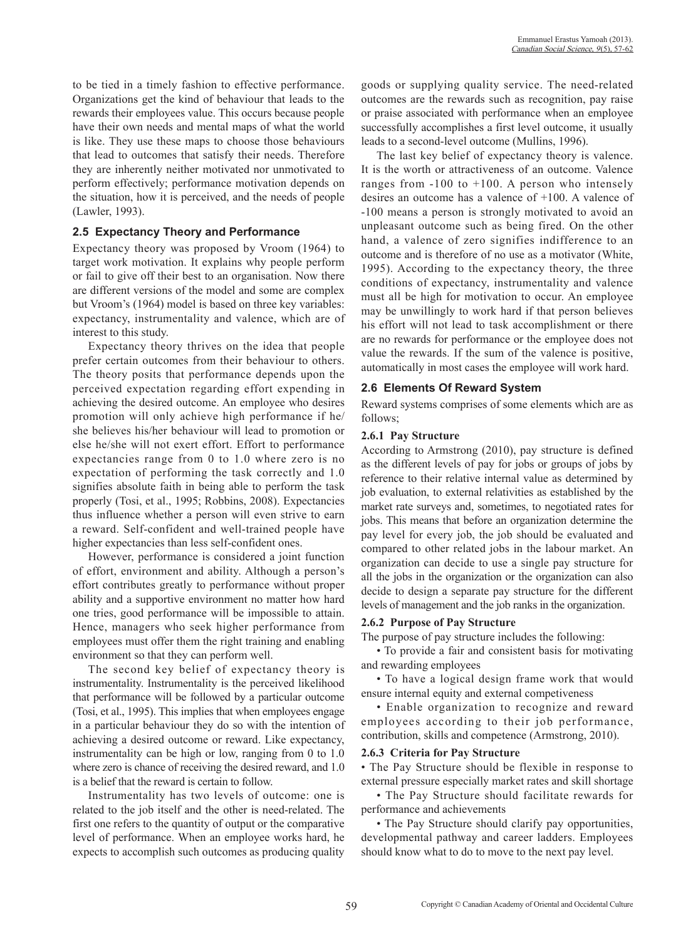to be tied in a timely fashion to effective performance. Organizations get the kind of behaviour that leads to the rewards their employees value. This occurs because people have their own needs and mental maps of what the world is like. They use these maps to choose those behaviours that lead to outcomes that satisfy their needs. Therefore they are inherently neither motivated nor unmotivated to perform effectively; performance motivation depends on the situation, how it is perceived, and the needs of people (Lawler, 1993).

### **2.5 Expectancy Theory and Performance**

Expectancy theory was proposed by Vroom (1964) to target work motivation. It explains why people perform or fail to give off their best to an organisation. Now there are different versions of the model and some are complex but Vroom's (1964) model is based on three key variables: expectancy, instrumentality and valence, which are of interest to this study.

Expectancy theory thrives on the idea that people prefer certain outcomes from their behaviour to others. The theory posits that performance depends upon the perceived expectation regarding effort expending in achieving the desired outcome. An employee who desires promotion will only achieve high performance if he/ she believes his/her behaviour will lead to promotion or else he/she will not exert effort. Effort to performance expectancies range from 0 to 1.0 where zero is no expectation of performing the task correctly and 1.0 signifies absolute faith in being able to perform the task properly (Tosi, et al., 1995; Robbins, 2008). Expectancies thus influence whether a person will even strive to earn a reward. Self-confident and well-trained people have higher expectancies than less self-confident ones.

However, performance is considered a joint function of effort, environment and ability. Although a person's effort contributes greatly to performance without proper ability and a supportive environment no matter how hard one tries, good performance will be impossible to attain. Hence, managers who seek higher performance from employees must offer them the right training and enabling environment so that they can perform well.

The second key belief of expectancy theory is instrumentality. Instrumentality is the perceived likelihood that performance will be followed by a particular outcome (Tosi, et al., 1995). This implies that when employees engage in a particular behaviour they do so with the intention of achieving a desired outcome or reward. Like expectancy, instrumentality can be high or low, ranging from 0 to 1.0 where zero is chance of receiving the desired reward, and 1.0 is a belief that the reward is certain to follow.

Instrumentality has two levels of outcome: one is related to the job itself and the other is need-related. The first one refers to the quantity of output or the comparative level of performance. When an employee works hard, he expects to accomplish such outcomes as producing quality

goods or supplying quality service. The need-related outcomes are the rewards such as recognition, pay raise or praise associated with performance when an employee successfully accomplishes a first level outcome, it usually leads to a second-level outcome (Mullins, 1996).

The last key belief of expectancy theory is valence. It is the worth or attractiveness of an outcome. Valence ranges from  $-100$  to  $+100$ . A person who intensely desires an outcome has a valence of +100. A valence of -100 means a person is strongly motivated to avoid an unpleasant outcome such as being fired. On the other hand, a valence of zero signifies indifference to an outcome and is therefore of no use as a motivator (White, 1995). According to the expectancy theory, the three conditions of expectancy, instrumentality and valence must all be high for motivation to occur. An employee may be unwillingly to work hard if that person believes his effort will not lead to task accomplishment or there are no rewards for performance or the employee does not value the rewards. If the sum of the valence is positive, automatically in most cases the employee will work hard.

#### **2.6 Elements Of Reward System**

Reward systems comprises of some elements which are as follows;

#### **2.6.1 Pay Structure**

According to Armstrong (2010), pay structure is defined as the different levels of pay for jobs or groups of jobs by reference to their relative internal value as determined by job evaluation, to external relativities as established by the market rate surveys and, sometimes, to negotiated rates for jobs. This means that before an organization determine the pay level for every job, the job should be evaluated and compared to other related jobs in the labour market. An organization can decide to use a single pay structure for all the jobs in the organization or the organization can also decide to design a separate pay structure for the different levels of management and the job ranks in the organization.

#### **2.6.2 Purpose of Pay Structure**

The purpose of pay structure includes the following:

• To provide a fair and consistent basis for motivating and rewarding employees

• To have a logical design frame work that would ensure internal equity and external competiveness

• Enable organization to recognize and reward employees according to their job performance, contribution, skills and competence (Armstrong, 2010).

#### **2.6.3 Criteria for Pay Structure**

• The Pay Structure should be flexible in response to external pressure especially market rates and skill shortage

• The Pay Structure should facilitate rewards for performance and achievements

• The Pay Structure should clarify pay opportunities, developmental pathway and career ladders. Employees should know what to do to move to the next pay level.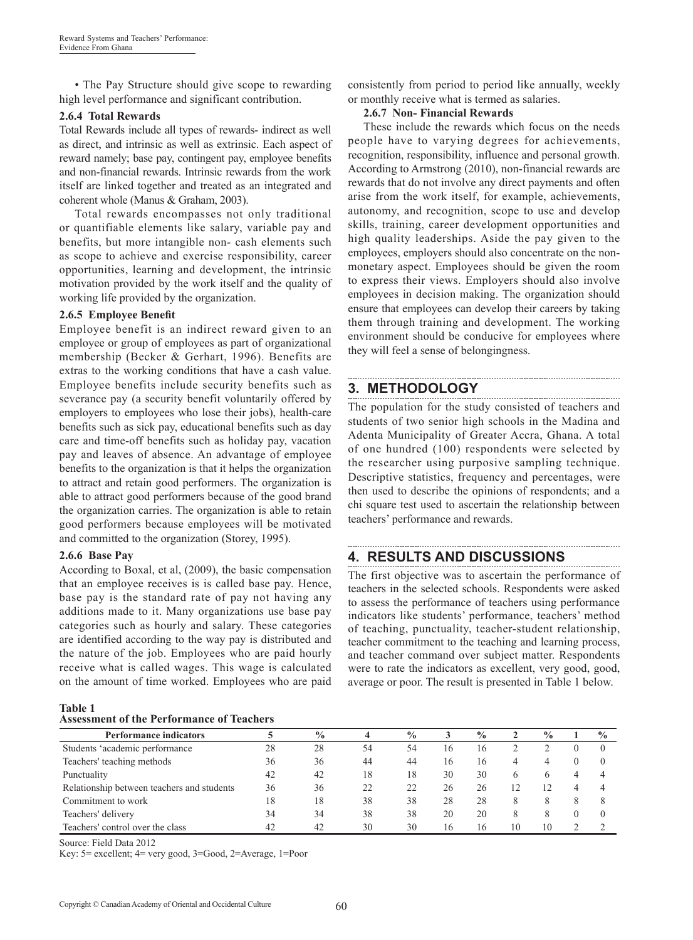• The Pay Structure should give scope to rewarding high level performance and significant contribution.

### **2.6.4 Total Rewards**

Total Rewards include all types of rewards- indirect as well as direct, and intrinsic as well as extrinsic. Each aspect of reward namely; base pay, contingent pay, employee benefits and non-financial rewards. Intrinsic rewards from the work itself are linked together and treated as an integrated and coherent whole (Manus & Graham, 2003).

Total rewards encompasses not only traditional or quantifiable elements like salary, variable pay and benefits, but more intangible non- cash elements such as scope to achieve and exercise responsibility, career opportunities, learning and development, the intrinsic motivation provided by the work itself and the quality of working life provided by the organization.

### **2.6.5 Employee Benefit**

Employee benefit is an indirect reward given to an employee or group of employees as part of organizational membership (Becker & Gerhart, 1996). Benefits are extras to the working conditions that have a cash value. Employee benefits include security benefits such as severance pay (a security benefit voluntarily offered by employers to employees who lose their jobs), health-care benefits such as sick pay, educational benefits such as day care and time-off benefits such as holiday pay, vacation pay and leaves of absence. An advantage of employee benefits to the organization is that it helps the organization to attract and retain good performers. The organization is able to attract good performers because of the good brand the organization carries. The organization is able to retain good performers because employees will be motivated and committed to the organization (Storey, 1995).

#### **2.6.6 Base Pay**

According to Boxal, et al, (2009), the basic compensation that an employee receives is is called base pay. Hence, base pay is the standard rate of pay not having any additions made to it. Many organizations use base pay categories such as hourly and salary. These categories are identified according to the way pay is distributed and the nature of the job. Employees who are paid hourly receive what is called wages. This wage is calculated on the amount of time worked. Employees who are paid

| Table 1 |                                                  |  |
|---------|--------------------------------------------------|--|
|         | <b>Assessment of the Performance of Teachers</b> |  |

consistently from period to period like annually, weekly or monthly receive what is termed as salaries.

### **2.6.7 Non- Financial Rewards**

These include the rewards which focus on the needs people have to varying degrees for achievements, recognition, responsibility, influence and personal growth. According to Armstrong (2010), non-financial rewards are rewards that do not involve any direct payments and often arise from the work itself, for example, achievements, autonomy, and recognition, scope to use and develop skills, training, career development opportunities and high quality leaderships. Aside the pay given to the employees, employers should also concentrate on the nonmonetary aspect. Employees should be given the room to express their views. Employers should also involve employees in decision making. The organization should ensure that employees can develop their careers by taking them through training and development. The working environment should be conducive for employees where they will feel a sense of belongingness.

### **3. METHODOLOGY**

The population for the study consisted of teachers and students of two senior high schools in the Madina and Adenta Municipality of Greater Accra, Ghana. A total of one hundred (100) respondents were selected by the researcher using purposive sampling technique. Descriptive statistics, frequency and percentages, were then used to describe the opinions of respondents; and a chi square test used to ascertain the relationship between teachers' performance and rewards.

## **4. RESULTS AND DISCUSSIONS**

The first objective was to ascertain the performance of teachers in the selected schools. Respondents were asked to assess the performance of teachers using performance indicators like students' performance, teachers' method of teaching, punctuality, teacher-student relationship, teacher commitment to the teaching and learning process, and teacher command over subject matter. Respondents were to rate the indicators as excellent, very good, good, average or poor. The result is presented in Table 1 below.

| <b>Performance indicators</b>              |    | $\frac{0}{0}$ |    | $\frac{0}{0}$ |    | $\frac{0}{0}$ |              | $\frac{0}{0}$ | $\frac{0}{0}$ |
|--------------------------------------------|----|---------------|----|---------------|----|---------------|--------------|---------------|---------------|
| Students 'academic performance             | 28 | 28            | 54 | 54            | 16 | 16            |              |               |               |
| Teachers' teaching methods                 | 36 | 36            | 44 | 44            | 16 | 16            |              |               |               |
| Punctuality                                | 42 | 42            | 18 | 18            | 30 | 30            | <sub>0</sub> |               |               |
| Relationship between teachers and students | 36 | 36            | 22 | 22            | 26 | 26            |              | 12            |               |
| Commitment to work                         | 18 | 18            | 38 | 38            | 28 | 28            | 8            | x             |               |
| Teachers' delivery                         | 34 | 34            | 38 | 38            | 20 | 20            |              |               |               |
| Teachers' control over the class           | 42 | 42            | 30 | 30            | 16 | 16            | 10           | 10            |               |

Source: Field Data 2012

Key: 5= excellent; 4= very good, 3=Good, 2=Average, 1=Poor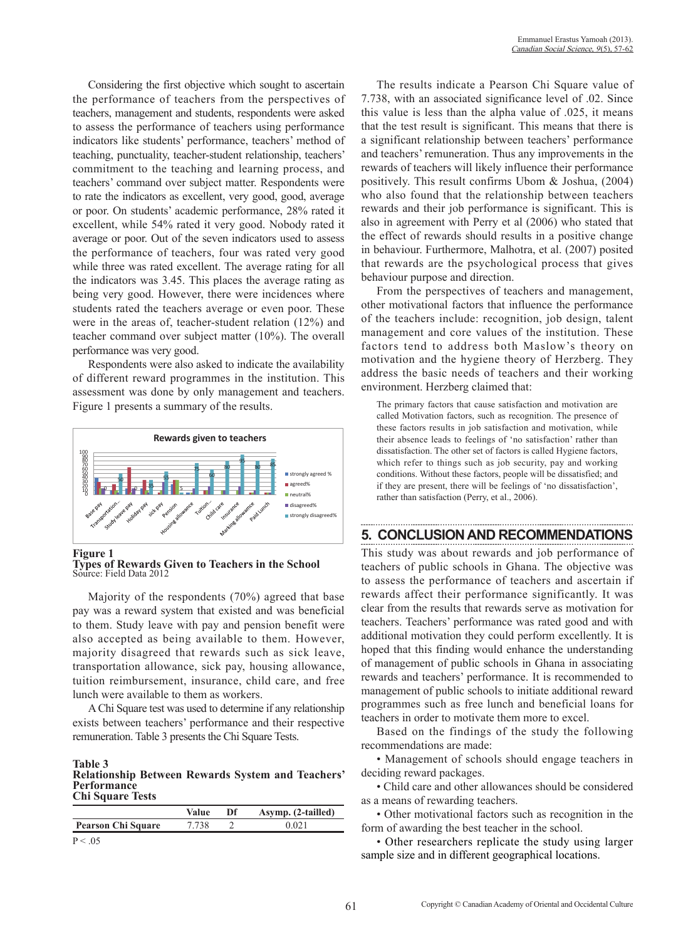Considering the first objective which sought to ascertain the performance of teachers from the perspectives of teachers, management and students, respondents were asked to assess the performance of teachers using performance indicators like students' performance, teachers' method of teaching, punctuality, teacher-student relationship, teachers' commitment to the teaching and learning process, and teachers' command over subject matter. Respondents were to rate the indicators as excellent, very good, good, average or poor. On students' academic performance, 28% rated it excellent, while 54% rated it very good. Nobody rated it average or poor. Out of the seven indicators used to assess the performance of teachers, four was rated very good while three was rated excellent. The average rating for all the indicators was 3.45. This places the average rating as being very good. However, there were incidences where students rated the teachers average or even poor. These were in the areas of, teacher-student relation (12%) and teacher command over subject matter (10%). The overall performance was very good.

Respondents were also asked to indicate the availability of different reward programmes in the institution. This assessment was done by only management and teachers. Figure 1 presents a summary of the results.



#### **Figure 1**

**Types of Rewards Given to Teachers in the School**  Source: Field Data 2012

Majority of the respondents (70%) agreed that base pay was a reward system that existed and was beneficial to them. Study leave with pay and pension benefit were also accepted as being available to them. However, majority disagreed that rewards such as sick leave, transportation allowance, sick pay, housing allowance, tuition reimbursement, insurance, child care, and free lunch were available to them as workers.

A Chi Square test was used to determine if any relationship exists between teachers' performance and their respective remuneration. Table 3 presents the Chi Square Tests.

#### **Table 3 Relationship Between Rewards System and Teachers' Performance Chi Square Tests**

|                           | Value | Df | Asymp. (2-tailled) |
|---------------------------|-------|----|--------------------|
| <b>Pearson Chi Square</b> | 7.738 |    | 0.021              |
| P < 0.05                  |       |    |                    |

The results indicate a Pearson Chi Square value of 7.738, with an associated significance level of .02. Since this value is less than the alpha value of .025, it means that the test result is significant. This means that there is a significant relationship between teachers' performance and teachers' remuneration. Thus any improvements in the rewards of teachers will likely influence their performance positively. This result confirms Ubom & Joshua, (2004) who also found that the relationship between teachers rewards and their job performance is significant. This is also in agreement with Perry et al (2006) who stated that the effect of rewards should results in a positive change in behaviour. Furthermore, Malhotra, et al. (2007) posited that rewards are the psychological process that gives behaviour purpose and direction.

From the perspectives of teachers and management, other motivational factors that influence the performance of the teachers include: recognition, job design, talent management and core values of the institution. These factors tend to address both Maslow's theory on motivation and the hygiene theory of Herzberg. They address the basic needs of teachers and their working environment. Herzberg claimed that:

The primary factors that cause satisfaction and motivation are called Motivation factors, such as recognition. The presence of these factors results in job satisfaction and motivation, while their absence leads to feelings of 'no satisfaction' rather than dissatisfaction. The other set of factors is called Hygiene factors, which refer to things such as job security, pay and working conditions. Without these factors, people will be dissatisfied; and if they are present, there will be feelings of 'no dissatisfaction', rather than satisfaction (Perry, et al., 2006).

### **5. CONCLUSION AND RECOMMENDATIONS**

This study was about rewards and job performance of teachers of public schools in Ghana. The objective was to assess the performance of teachers and ascertain if rewards affect their performance significantly. It was clear from the results that rewards serve as motivation for teachers. Teachers' performance was rated good and with additional motivation they could perform excellently. It is hoped that this finding would enhance the understanding of management of public schools in Ghana in associating rewards and teachers' performance. It is recommended to management of public schools to initiate additional reward programmes such as free lunch and beneficial loans for teachers in order to motivate them more to excel.

Based on the findings of the study the following recommendations are made:

• Management of schools should engage teachers in deciding reward packages.

• Child care and other allowances should be considered as a means of rewarding teachers.

• Other motivational factors such as recognition in the form of awarding the best teacher in the school.

• Other researchers replicate the study using larger sample size and in different geographical locations.